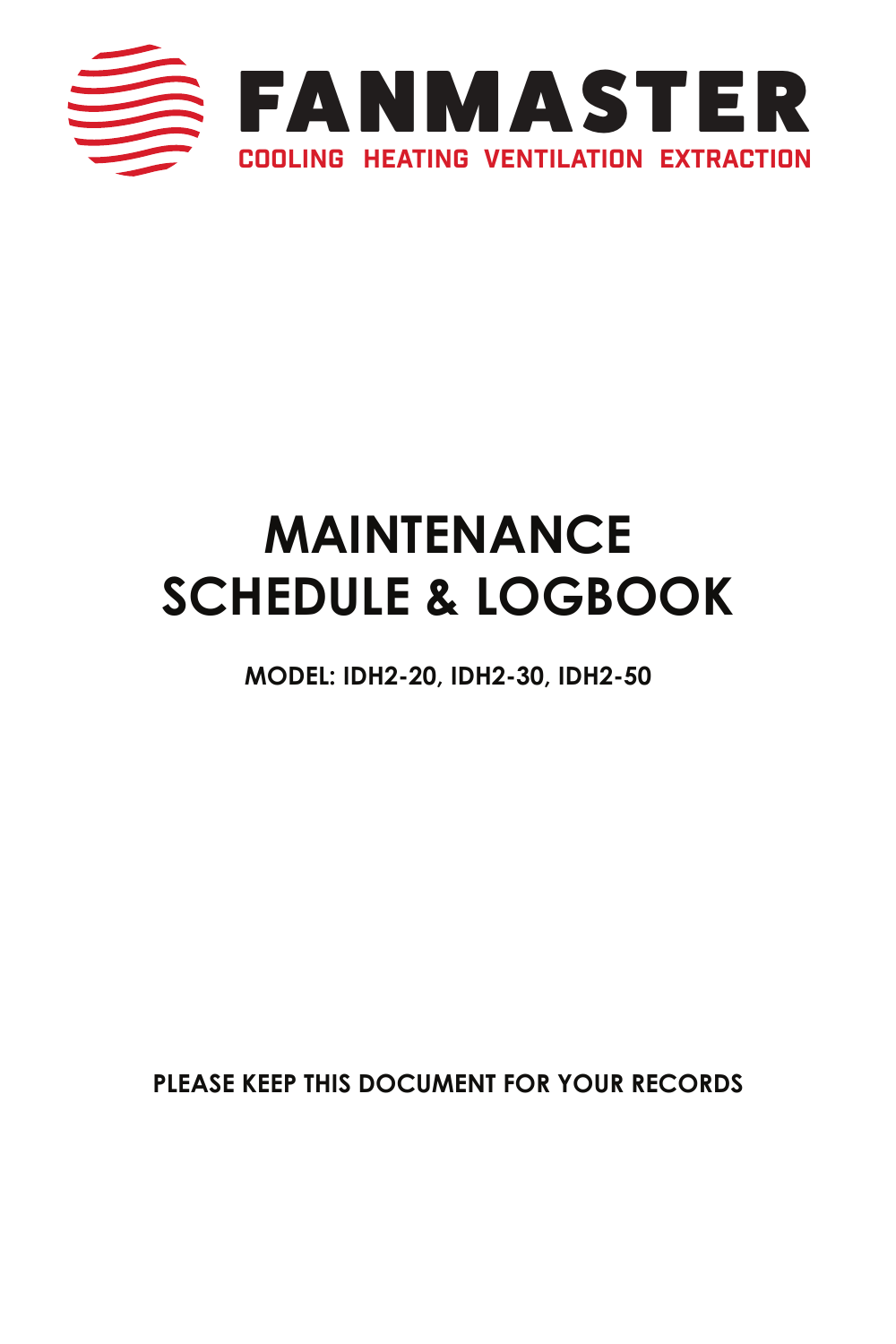

# **MAINTENANCE SCHEDULE & LOGBOOK**

**MODEL: IDH2-20, IDH2-30, IDH2-50**

**PLEASE KEEP THIS DOCUMENT FOR YOUR RECORDS**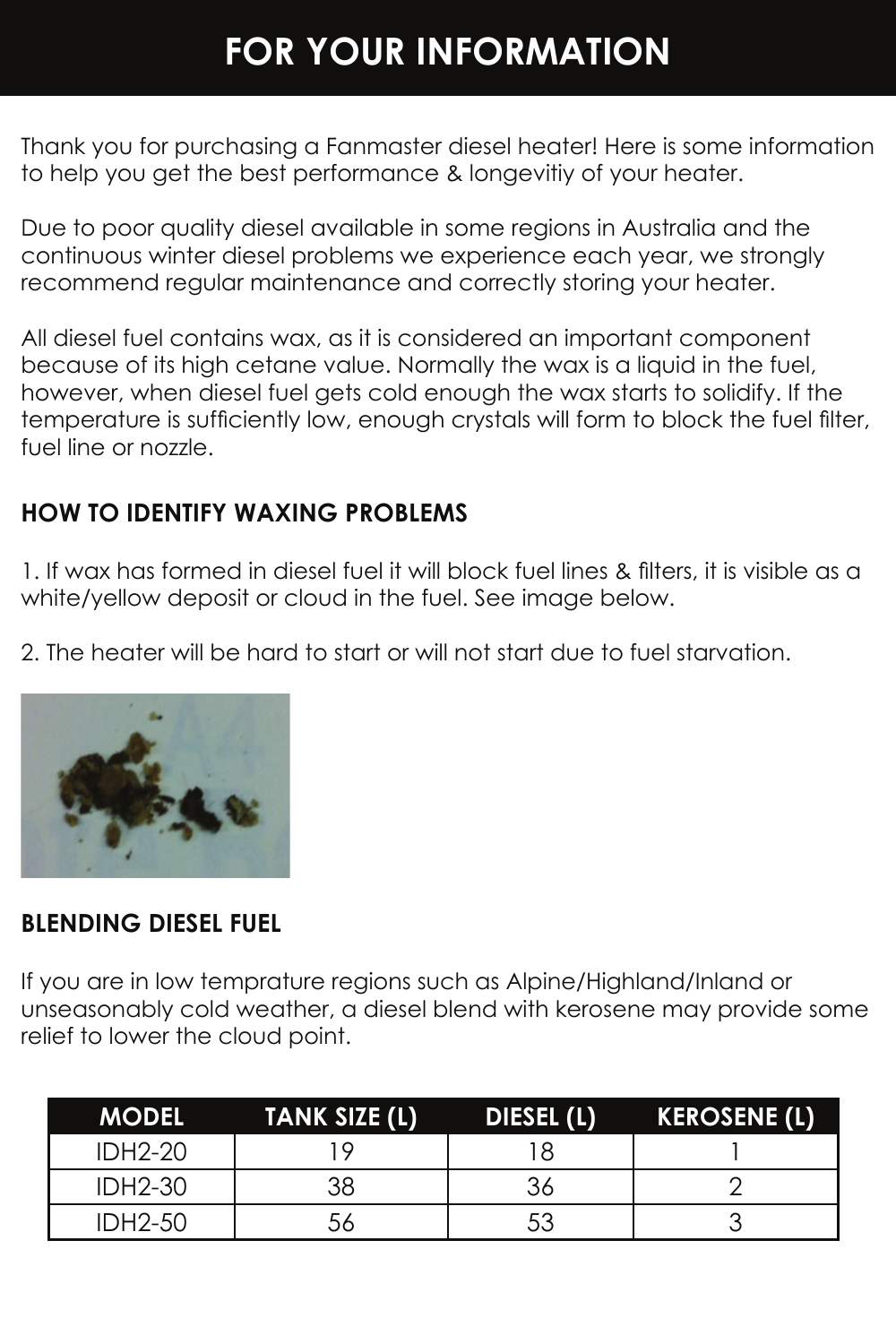## **FOR YOUR INFORMATION**

Thank you for purchasing a Fanmaster diesel heater! Here is some information to help you get the best performance & longevitiy of your heater.

Due to poor quality diesel available in some regions in Australia and the continuous winter diesel problems we experience each year, we strongly recommend regular maintenance and correctly storing your heater.

All diesel fuel contains wax, as it is considered an important component because of its high cetane value. Normally the wax is a liquid in the fuel, however, when diesel fuel gets cold enough the wax starts to solidify. If the temperature is sufficiently low, enough crystals will form to block the fuel filter, fuel line or nozzle.

#### **HOW TO IDENTIFY WAXING PROBLEMS**

1. If wax has formed in diesel fuel it will block fuel lines & filters, it is visible as a white/yellow deposit or cloud in the fuel. See image below.

2. The heater will be hard to start or will not start due to fuel starvation.



#### **BLENDING DIESEL FUEL**

If you are in low temprature regions such as Alpine/Highland/Inland or unseasonably cold weather, a diesel blend with kerosene may provide some relief to lower the cloud point.

| <b>MODEL</b>   | <b>TANK SIZE (L)</b> | DIESEL (L) | <b>KEROSENE (L)</b> |
|----------------|----------------------|------------|---------------------|
| <b>IDH2-20</b> |                      | 18         |                     |
| <b>IDH2-30</b> | 38                   |            |                     |
| <b>IDH2-50</b> | 56                   | 53         |                     |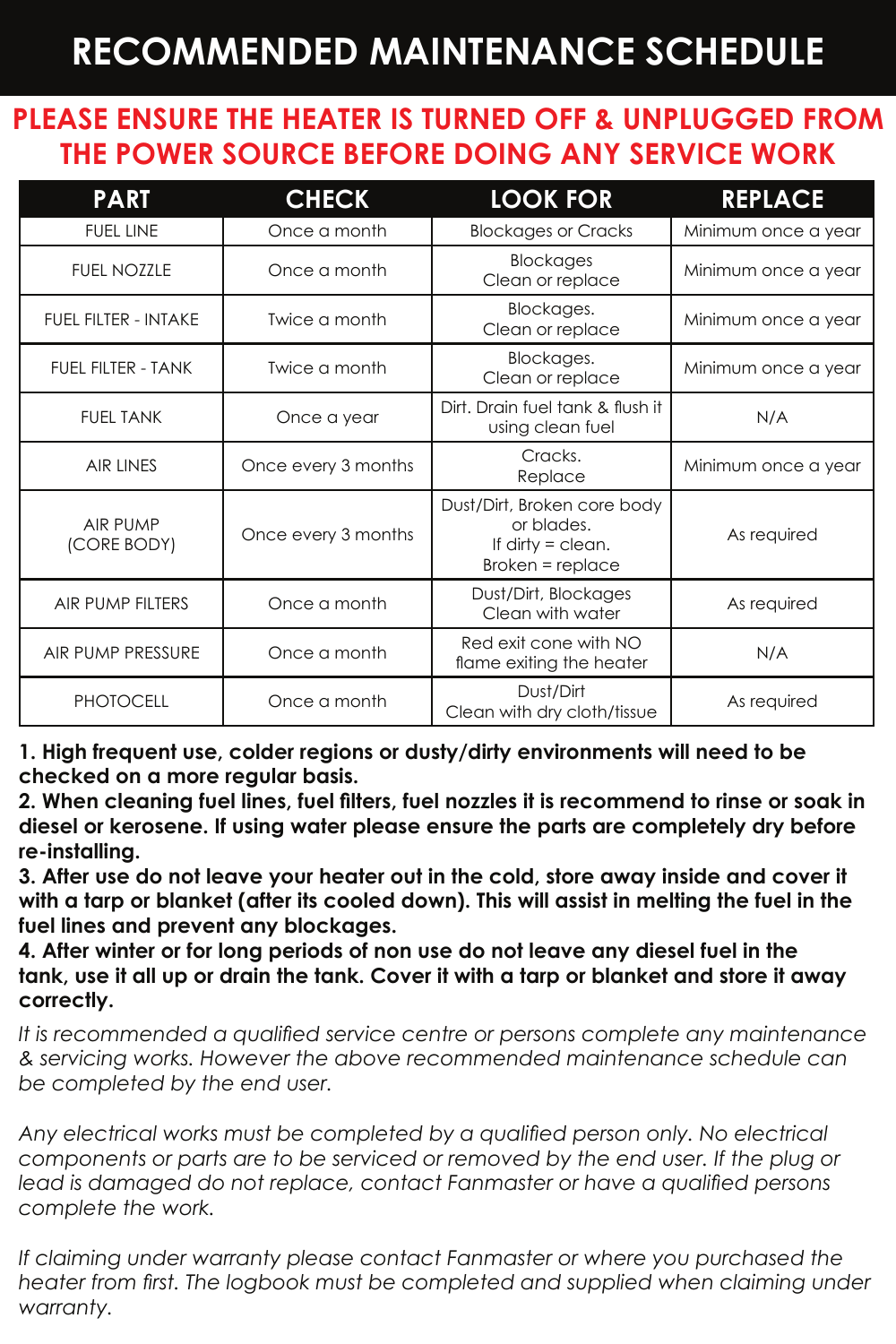## **RECOMMENDED MAINTENANCE SCHEDULE**

#### **PLEASE ENSURE THE HEATER IS TURNED OFF & UNPLUGGED FROM THE POWER SOURCE BEFORE DOING ANY SERVICE WORK**

| <b>PART</b>                 | <b>CHECK</b>        | <b>LOOK FOR</b>                                                                        | <b>REPLACE</b>      |
|-----------------------------|---------------------|----------------------------------------------------------------------------------------|---------------------|
| <b>FUEL LINE</b>            | Once a month        | <b>Blockages or Cracks</b>                                                             | Minimum once a year |
| <b>FUEL NOZZLE</b>          | Once a month        | Blockages<br>Clean or replace                                                          | Minimum once a year |
| <b>FUEL FILTER - INTAKE</b> | Twice a month       | Blockages.<br>Clean or replace                                                         | Minimum once a year |
| FUEL FILTER - TANK          | Twice a month       | Blockages.<br>Clean or replace                                                         | Minimum once a year |
| <b>FUEL TANK</b>            | Once a year         | Dirt. Drain fuel tank & flush it<br>using clean fuel                                   | N/A                 |
| <b>AIR LINES</b>            | Once every 3 months | Cracks.<br>Replace                                                                     | Minimum once a year |
| AIR PUMP<br>(CORE BODY)     | Once every 3 months | Dust/Dirt, Broken core body<br>or blades.<br>If dirty $=$ clean.<br>$Broken = replace$ | As required         |
| AIR PUMP FILTERS            | Once a month        | Dust/Dirt, Blockages<br>As required<br>Clean with water                                |                     |
| <b>AIR PUMP PRESSURE</b>    | Once a month        | Red exit cone with NO<br>flame exiting the heater                                      | N/A                 |
| <b>PHOTOCELL</b>            | Once a month        | Dust/Dirt<br>As required<br>Clean with dry cloth/tissue                                |                     |

**1. High frequent use, colder regions or dusty/dirty environments will need to be checked on a more regular basis.**

**2. When cleaning fuel lines, fuel filters, fuel nozzles it is recommend to rinse or soak in diesel or kerosene. If using water please ensure the parts are completely dry before re-installing.**

**3. After use do not leave your heater out in the cold, store away inside and cover it with a tarp or blanket (after its cooled down). This will assist in melting the fuel in the fuel lines and prevent any blockages.**

**4. After winter or for long periods of non use do not leave any diesel fuel in the tank, use it all up or drain the tank. Cover it with a tarp or blanket and store it away correctly.**

*It is recommended a qualified service centre or persons complete any maintenance & servicing works. However the above recommended maintenance schedule can be completed by the end user.*

Any electrical works must be completed by a qualified person only. No electrical *components or parts are to be serviced or removed by the end user. If the plug or lead is damaged do not replace, contact Fanmaster or have a qualified persons complete the work.*

If claiming under warranty please contact Fanmaster or where you purchased the heater from first. The logbook must be completed and supplied when claiming under *warranty.*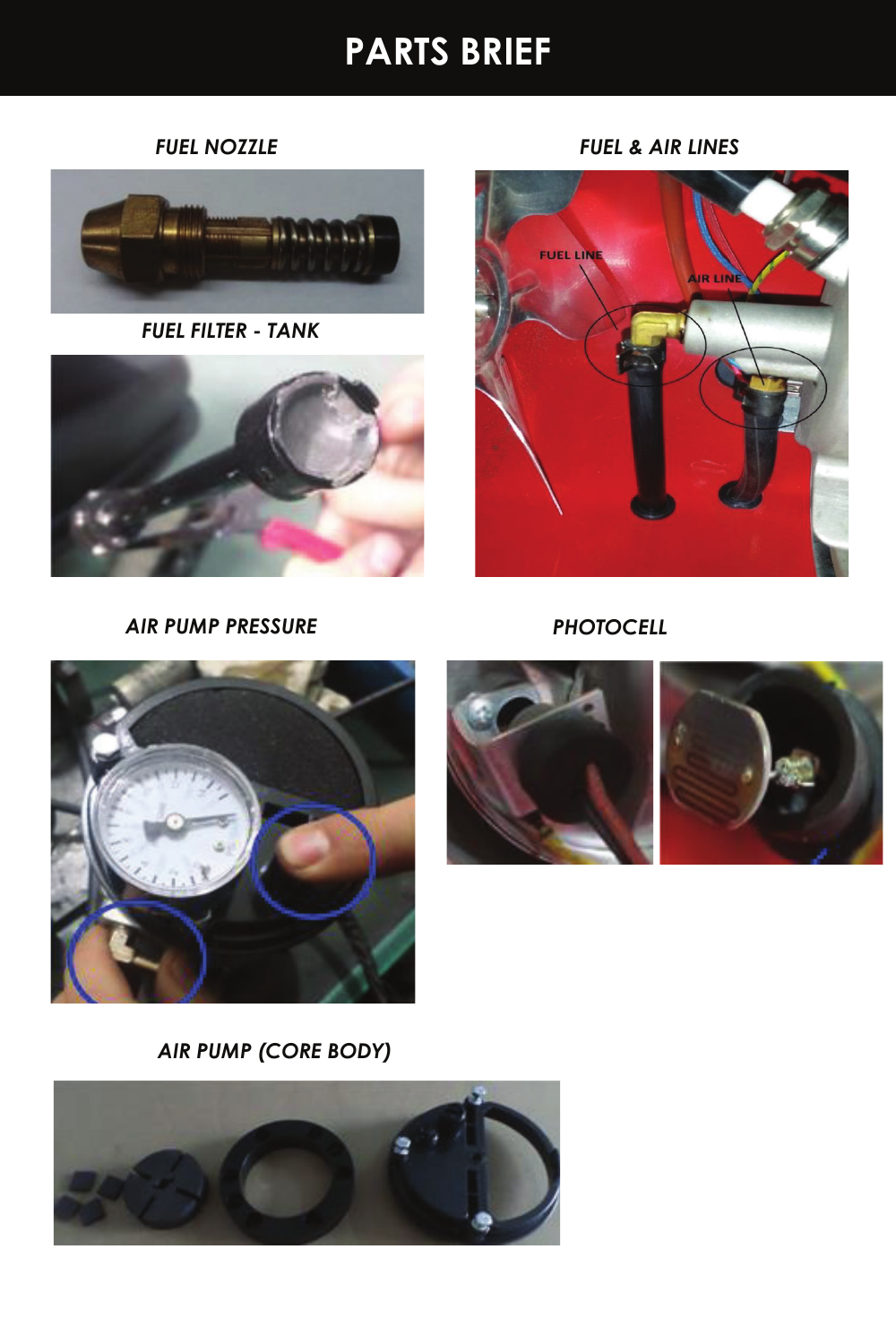

*AIR PUMP (CORE BODY)*







*AIR PUMP PRESSURE*

*PHOTOCELL*





*FUEL FILTER - TANK*

*FUEL NOZZLE FUEL & AIR LINES*

## **PARTS BRIEF**

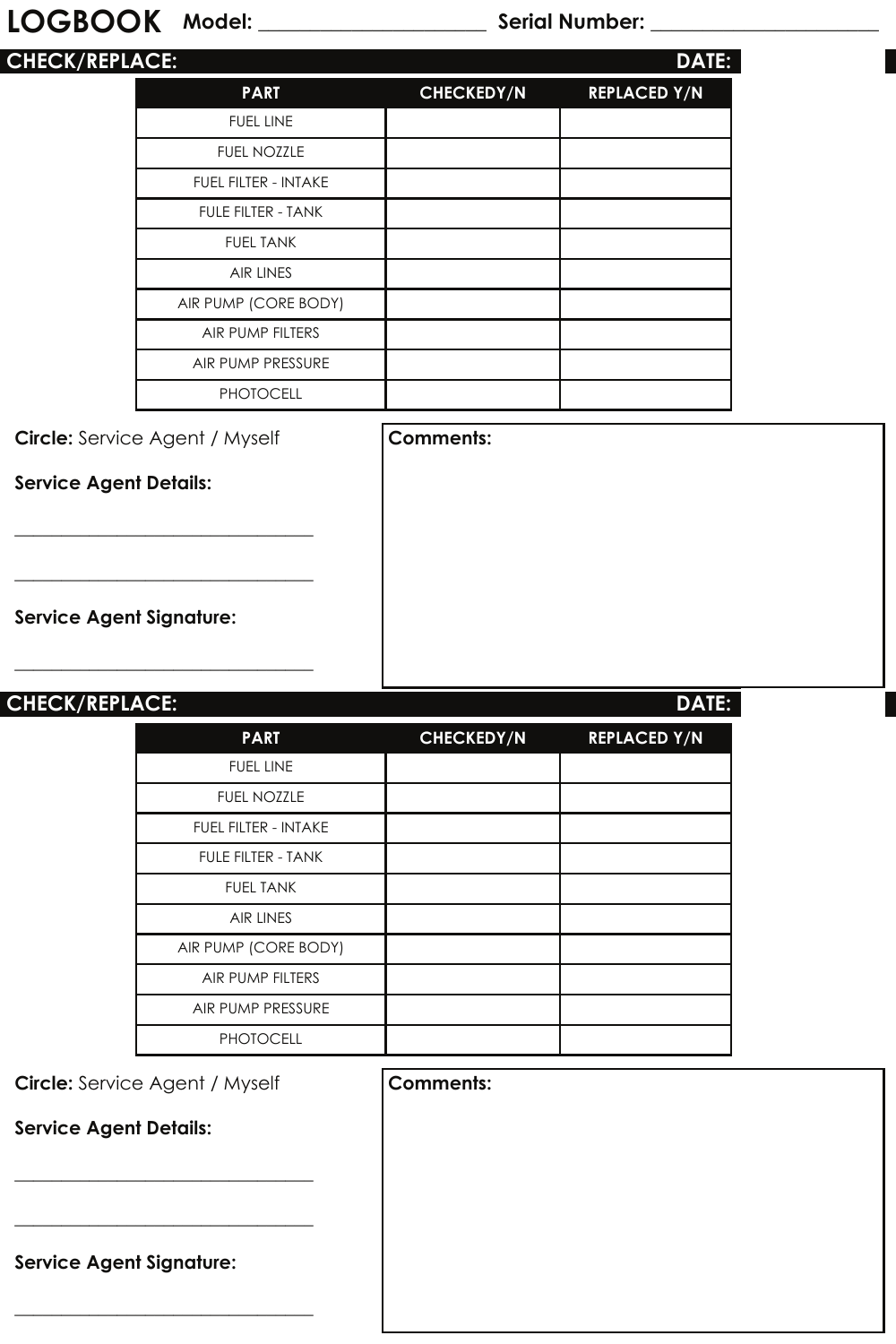### **LOGBOOK Model: \_\_\_\_\_\_\_\_\_\_\_\_\_\_\_\_\_\_\_\_\_\_ Serial Number: \_\_\_\_\_\_\_\_\_\_\_\_\_\_\_\_\_\_\_\_\_\_**

| <b>CHECK/REPLACE:</b> |                             |                   | <b>DATE:</b>        |
|-----------------------|-----------------------------|-------------------|---------------------|
|                       | <b>PART</b>                 | <b>CHECKEDY/N</b> | <b>REPLACED Y/N</b> |
|                       | <b>FUEL LINE</b>            |                   |                     |
|                       | <b>FUEL NOZZLE</b>          |                   |                     |
|                       | <b>FUEL FILTER - INTAKE</b> |                   |                     |
|                       | <b>FULE FILTER - TANK</b>   |                   |                     |
|                       | <b>FUEL TANK</b>            |                   |                     |
|                       | <b>AIR LINES</b>            |                   |                     |
|                       | AIR PUMP (CORE BODY)        |                   |                     |
|                       | AIR PUMP FILTERS            |                   |                     |
|                       | AIR PUMP PRESSURE           |                   |                     |
|                       | <b>PHOTOCELL</b>            |                   |                     |

**Circle:** Service Agent / Myself **Comments:** 

\_\_\_\_\_\_\_\_\_\_\_\_\_\_\_\_\_\_\_\_\_\_\_\_\_\_\_\_\_\_\_\_

\_\_\_\_\_\_\_\_\_\_\_\_\_\_\_\_\_\_\_\_\_\_\_\_\_\_\_\_\_\_\_\_

\_\_\_\_\_\_\_\_\_\_\_\_\_\_\_\_\_\_\_\_\_\_\_\_\_\_\_\_\_\_\_\_

**Service Agent Details:**

**Service Agent Signature:**

| <b>CHECK/REPLACE:</b> |                             |                   | <b>DATE:</b>        |
|-----------------------|-----------------------------|-------------------|---------------------|
|                       | <b>PART</b>                 | <b>CHECKEDY/N</b> | <b>REPLACED Y/N</b> |
|                       | <b>FUEL LINE</b>            |                   |                     |
|                       | <b>FUEL NOZZLE</b>          |                   |                     |
|                       | <b>FUEL FILTER - INTAKE</b> |                   |                     |
|                       | <b>FULE FILTER - TANK</b>   |                   |                     |
|                       | <b>FUEL TANK</b>            |                   |                     |
|                       | <b>AIR LINES</b>            |                   |                     |
|                       | AIR PUMP (CORE BODY)        |                   |                     |
|                       | AIR PUMP FILTERS            |                   |                     |
|                       | AIR PUMP PRESSURE           |                   |                     |
|                       | <b>PHOTOCELL</b>            |                   |                     |

**Circle:** Service Agent / Myself

\_\_\_\_\_\_\_\_\_\_\_\_\_\_\_\_\_\_\_\_\_\_\_\_\_\_\_\_\_\_\_\_

\_\_\_\_\_\_\_\_\_\_\_\_\_\_\_\_\_\_\_\_\_\_\_\_\_\_\_\_\_\_\_\_

\_\_\_\_\_\_\_\_\_\_\_\_\_\_\_\_\_\_\_\_\_\_\_\_\_\_\_\_\_\_\_\_

**Service Agent Details:**

**Service Agent Signature:**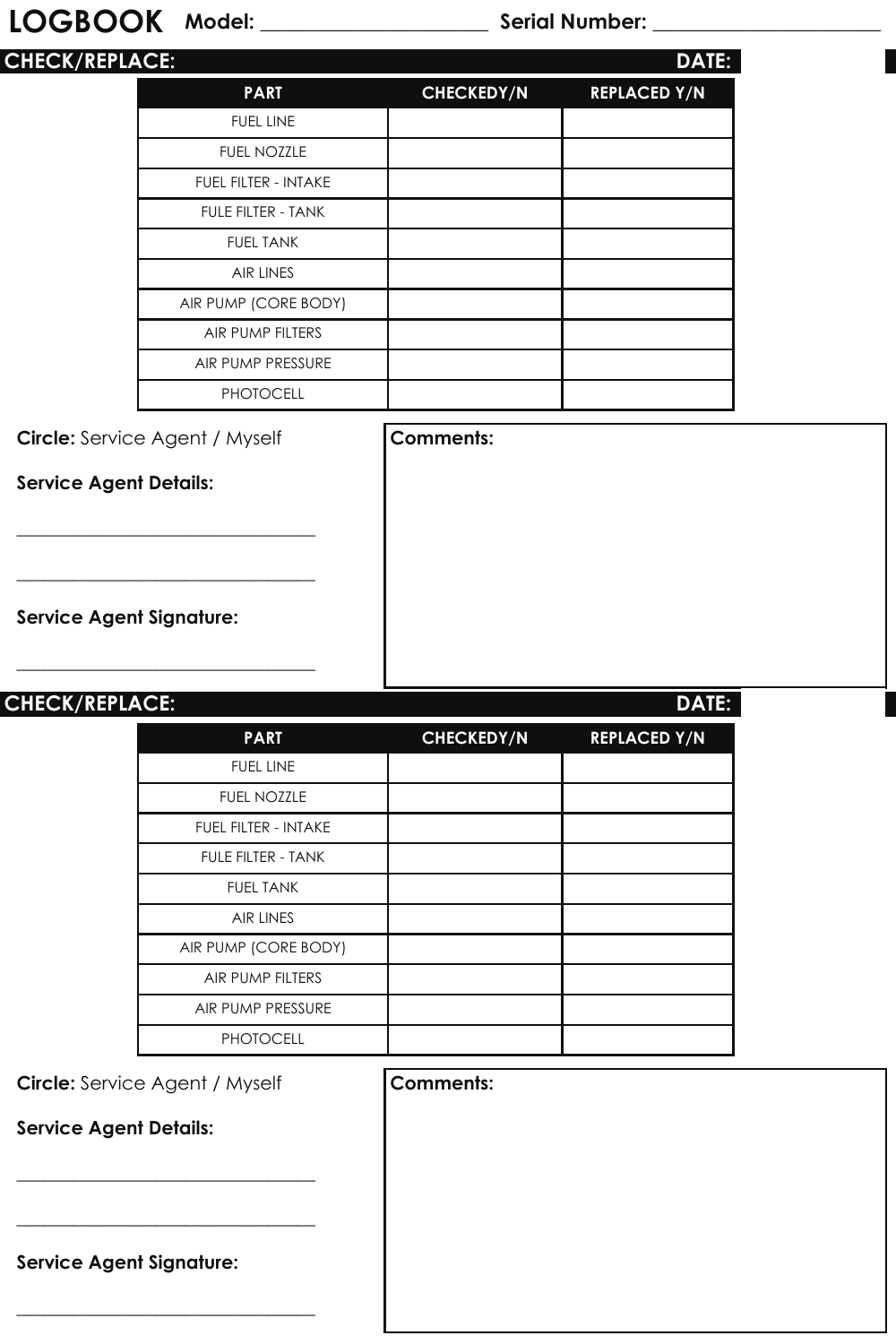#### **LOGBOOK Model: \_\_\_\_\_\_\_\_\_\_\_\_\_\_\_\_\_\_\_\_\_\_ Serial Number: \_\_\_\_\_\_\_\_\_\_\_\_\_\_\_\_\_\_\_\_\_\_**

| <b>CHECK/REPLACE:</b> |                             |                   | <b>DATE:</b>        |
|-----------------------|-----------------------------|-------------------|---------------------|
|                       | <b>PART</b>                 | <b>CHECKEDY/N</b> | <b>REPLACED Y/N</b> |
|                       | <b>FUEL LINE</b>            |                   |                     |
|                       | <b>FUEL NOZZLE</b>          |                   |                     |
|                       | <b>FUEL FILTER - INTAKE</b> |                   |                     |
|                       | <b>FULE FILTER - TANK</b>   |                   |                     |
|                       | <b>FUEL TANK</b>            |                   |                     |
|                       | <b>AIR LINES</b>            |                   |                     |
|                       | AIR PUMP (CORE BODY)        |                   |                     |
|                       | AIR PUMP FILTERS            |                   |                     |
|                       | AIR PUMP PRESSURE           |                   |                     |
|                       | <b>PHOTOCELL</b>            |                   |                     |

**Circle:** Service Agent / Myself **Comments:** 

 $\_$ 

 $\_$ 

 $\_$ 

**Service Agent Details:**

**Service Agent Signature:**

| <b>CHECK/REPLACE:</b> |                             |                   | <b>DATE:</b>        |
|-----------------------|-----------------------------|-------------------|---------------------|
|                       | <b>PART</b>                 | <b>CHECKEDY/N</b> | <b>REPLACED Y/N</b> |
|                       | <b>FUEL LINE</b>            |                   |                     |
|                       | <b>FUEL NOZZLE</b>          |                   |                     |
|                       | <b>FUEL FILTER - INTAKE</b> |                   |                     |
|                       | <b>FULE FILTER - TANK</b>   |                   |                     |
|                       | <b>FUEL TANK</b>            |                   |                     |
|                       | <b>AIR LINES</b>            |                   |                     |
|                       | AIR PUMP (CORE BODY)        |                   |                     |
|                       | AIR PUMP FILTERS            |                   |                     |
|                       | AIR PUMP PRESSURE           |                   |                     |
|                       | <b>PHOTOCELL</b>            |                   |                     |

**Circle:** Service Agent / Myself

\_\_\_\_\_\_\_\_\_\_\_\_\_\_\_\_\_\_\_\_\_\_\_\_\_\_\_\_\_\_\_\_

 $\_$ 

 $\_$ 

**Service Agent Details:**

**Service Agent Signature:**

| Comments: |  |  |
|-----------|--|--|
|           |  |  |
|           |  |  |
|           |  |  |
|           |  |  |
|           |  |  |
|           |  |  |
|           |  |  |